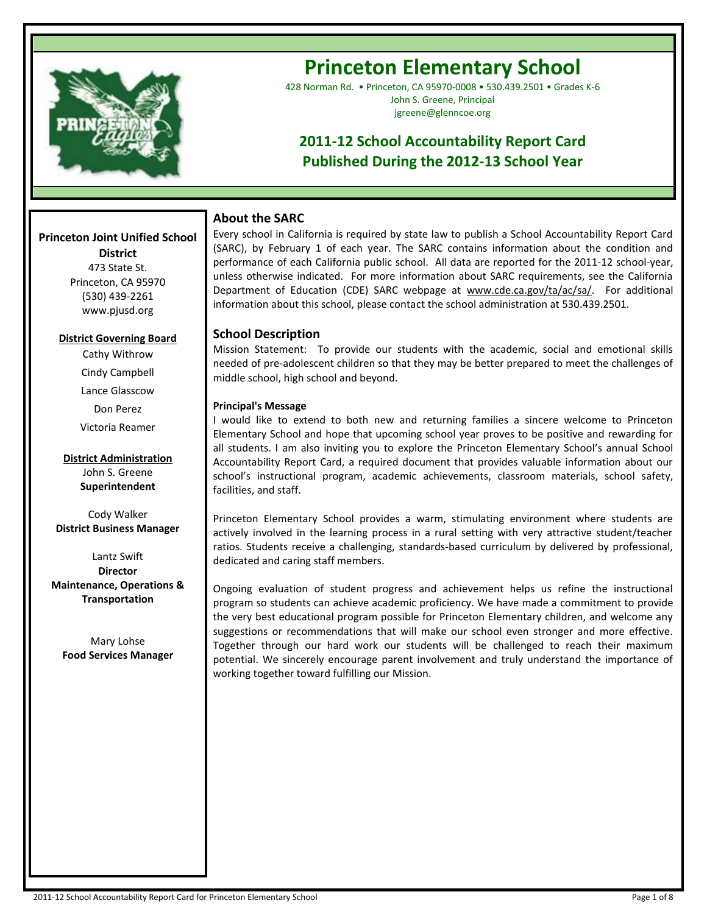

**--**

# **Princeton Elementary School**

428 Norman Rd. • Princeton, CA 95970-0008 • 530.439.2501 • Grades K-6 John S. Greene, Principal jgreene@glenncoe.org

# **2011-12 School Accountability Report Card Published During the 2012-13 School Year**

# **About the SARC**

Every school in California is required by state law to publish a School Accountability Report Card (SARC), by February 1 of each year. The SARC contains information about the condition and performance of each California public school. All data are reported for the 2011-12 school-year, unless otherwise indicated. For more information about SARC requirements, see the California Department of Education (CDE) SARC webpage at www.cde.ca.gov/ta/ac/sa/. For additional information about this school, please contact the school administration at 530.439.2501.

# **School Description**

Mission Statement: To provide our students with the academic, social and emotional skills needed of pre-adolescent children so that they may be better prepared to meet the challenges of middle school, high school and beyond.

### **Principal's Message**

I would like to extend to both new and returning families a sincere welcome to Princeton Elementary School and hope that upcoming school year proves to be positive and rewarding for all students. I am also inviting you to explore the Princeton Elementary School's annual School Accountability Report Card, a required document that provides valuable information about our school's instructional program, academic achievements, classroom materials, school safety, facilities, and staff.

Princeton Elementary School provides a warm, stimulating environment where students are actively involved in the learning process in a rural setting with very attractive student/teacher ratios. Students receive a challenging, standards-based curriculum by delivered by professional, dedicated and caring staff members.

Ongoing evaluation of student progress and achievement helps us refine the instructional program so students can achieve academic proficiency. We have made a commitment to provide the very best educational program possible for Princeton Elementary children, and welcome any suggestions or recommendations that will make our school even stronger and more effective. Together through our hard work our students will be challenged to reach their maximum potential. We sincerely encourage parent involvement and truly understand the importance of working together toward fulfilling our Mission.

# **District** 473 State St.

**Princeton Joint Unified School** 

Princeton, CA 95970 (530) 439-2261 www.pjusd.org

### **District Governing Board**

Cathy Withrow Cindy Campbell Lance Glasscow Don Perez Victoria Reamer

**District Administration** John S. Greene **Superintendent**

Cody Walker **District Business Manager** 

Lantz Swift **Director Maintenance, Operations & Transportation**

Mary Lohse **Food Services Manager**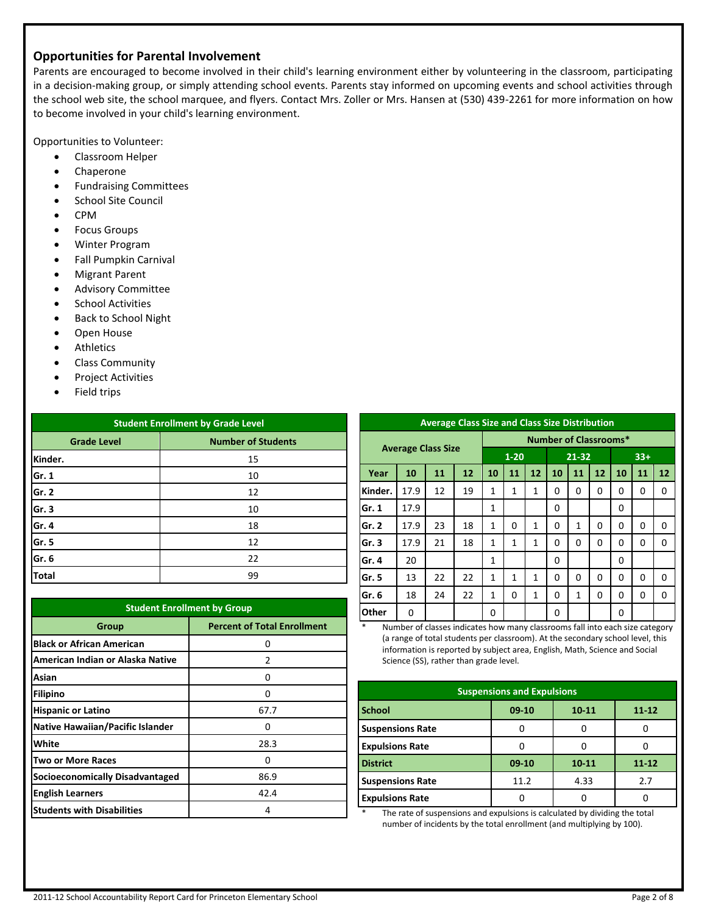## **Opportunities for Parental Involvement**

Parents are encouraged to become involved in their child's learning environment either by volunteering in the classroom, participating in a decision-making group, or simply attending school events. Parents stay informed on upcoming events and school activities through the school web site, the school marquee, and flyers. Contact Mrs. Zoller or Mrs. Hansen at (530) 439-2261 for more information on how to become involved in your child's learning environment.

Opportunities to Volunteer:

- Classroom Helper
- Chaperone
- Fundraising Committees
- School Site Council
- CPM
- **•** Focus Groups
- Winter Program
- Fall Pumpkin Carnival
- Migrant Parent
- Advisory Committee
- **•** School Activities
- Back to School Night
- Open House
- Athletics
- Class Community
- Project Activities
- Field trips

| <b>Student Enrollment by Grade Level</b>        |    |  |  |  |
|-------------------------------------------------|----|--|--|--|
| <b>Number of Students</b><br><b>Grade Level</b> |    |  |  |  |
| Kinder.                                         | 15 |  |  |  |
| Gr. 1                                           | 10 |  |  |  |
| Gr. 2                                           | 12 |  |  |  |
| Gr. 3                                           | 10 |  |  |  |
| Gr. 4                                           | 18 |  |  |  |
| Gr. 5                                           | 12 |  |  |  |
| Gr. 6                                           | 22 |  |  |  |
| <b>Total</b>                                    | 99 |  |  |  |

| <b>Student Enrollment by Group</b>          |               |  |  |  |  |
|---------------------------------------------|---------------|--|--|--|--|
| <b>Percent of Total Enrollment</b><br>Group |               |  |  |  |  |
| <b>Black or African American</b>            | Ω             |  |  |  |  |
| American Indian or Alaska Native            | $\mathfrak z$ |  |  |  |  |
| Asian                                       | n             |  |  |  |  |
| <b>Filipino</b>                             | ŋ             |  |  |  |  |
| <b>Hispanic or Latino</b>                   | 67.7          |  |  |  |  |
| <b>Native Hawaiian/Pacific Islander</b>     | n             |  |  |  |  |
| White                                       | 28.3          |  |  |  |  |
| <b>Two or More Races</b>                    | ŋ             |  |  |  |  |
| <b>Socioeconomically Disadvantaged</b>      | 86.9          |  |  |  |  |
| <b>English Learners</b>                     | 42.4          |  |  |  |  |
| <b>Students with Disabilities</b>           | 4             |  |  |  |  |

| <b>Average Class Size and Class Size Distribution</b> |                           |                              |    |              |          |    |          |          |    |       |          |          |
|-------------------------------------------------------|---------------------------|------------------------------|----|--------------|----------|----|----------|----------|----|-------|----------|----------|
|                                                       |                           | <b>Number of Classrooms*</b> |    |              |          |    |          |          |    |       |          |          |
|                                                       | <b>Average Class Size</b> |                              |    |              | $1 - 20$ |    |          | 21-32    |    | $33+$ |          |          |
| Year                                                  | 10                        | 11                           | 12 | 10           | 11       | 12 | 10       | 11       | 12 | 10    | 11       | 12       |
| Kinder.                                               | 17.9                      | 12                           | 19 | $\mathbf{1}$ | 1        | 1  | 0        | $\Omega$ | 0  | 0     | 0        | 0        |
| Gr. 1                                                 | 17.9                      |                              |    | $\mathbf{1}$ |          |    | 0        |          |    | 0     |          |          |
| Gr. 2                                                 | 17.9                      | 23                           | 18 | $\mathbf{1}$ | 0        | 1  | 0        | 1        | 0  | 0     | 0        | $\Omega$ |
| Gr. 3                                                 | 17.9                      | 21                           | 18 | $\mathbf{1}$ | 1        | 1  | 0        | $\Omega$ | 0  | 0     | 0        | $\Omega$ |
| Gr. 4                                                 | 20                        |                              |    | $\mathbf{1}$ |          |    | 0        |          |    | 0     |          |          |
| Gr. 5                                                 | 13                        | 22                           | 22 | $\mathbf{1}$ | 1        | 1  | 0        | $\Omega$ | 0  | 0     | $\Omega$ | $\Omega$ |
| Gr. 6                                                 | 18                        | 24                           | 22 | $\mathbf{1}$ | 0        | 1  | $\Omega$ | 1        | 0  | 0     | 0        | $\Omega$ |
| Other                                                 | 0                         |                              |    | 0            |          |    | 0        |          |    | 0     |          |          |

Number of classes indicates how many classrooms fall into each size category (a range of total students per classroom). At the secondary school level, this information is reported by subject area, English, Math, Science and Social Science (SS), rather than grade level.

| <b>Suspensions and Expulsions</b> |         |           |           |  |  |
|-----------------------------------|---------|-----------|-----------|--|--|
| <b>School</b>                     | $09-10$ | 10-11     | $11 - 12$ |  |  |
| <b>Suspensions Rate</b>           |         |           |           |  |  |
| <b>Expulsions Rate</b>            |         |           |           |  |  |
| <b>District</b>                   | $09-10$ | $10 - 11$ | $11 - 12$ |  |  |
| <b>Suspensions Rate</b>           | 11.2    | 4.33      | 2.7       |  |  |
| <b>Expulsions Rate</b>            |         |           |           |  |  |

The rate of suspensions and expulsions is calculated by dividing the total number of incidents by the total enrollment (and multiplying by 100).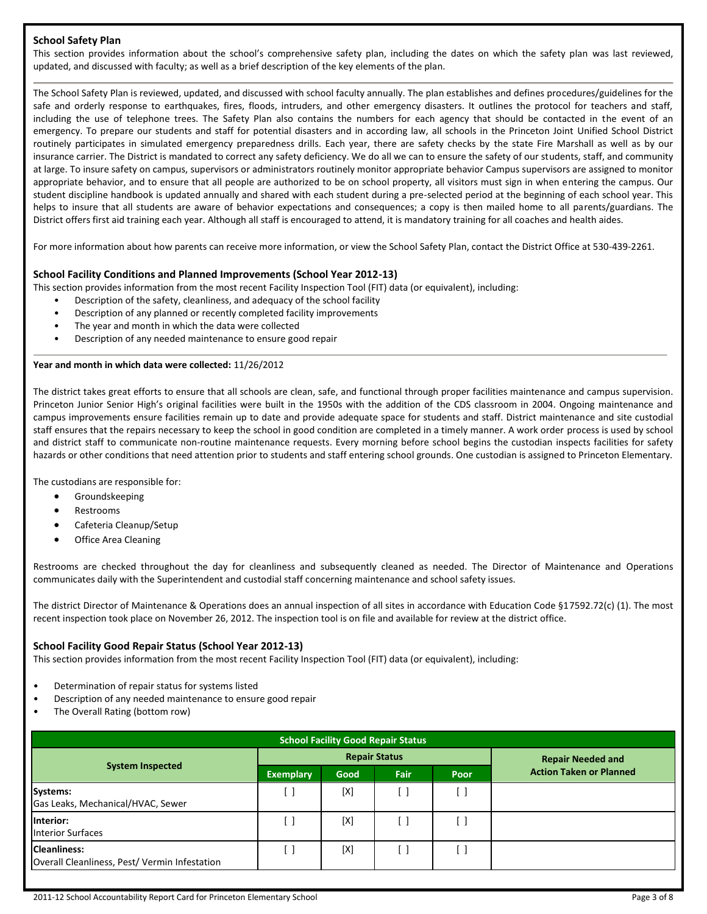#### **School Safety Plan**

This section provides information about the school's comprehensive safety plan, including the dates on which the safety plan was last reviewed, updated, and discussed with faculty; as well as a brief description of the key elements of the plan.

The School Safety Plan is reviewed, updated, and discussed with school faculty annually. The plan establishes and defines procedures/guidelines for the safe and orderly response to earthquakes, fires, floods, intruders, and other emergency disasters. It outlines the protocol for teachers and staff, including the use of telephone trees. The Safety Plan also contains the numbers for each agency that should be contacted in the event of an emergency. To prepare our students and staff for potential disasters and in according law, all schools in the Princeton Joint Unified School District routinely participates in simulated emergency preparedness drills. Each year, there are safety checks by the state Fire Marshall as well as by our insurance carrier. The District is mandated to correct any safety deficiency. We do all we can to ensure the safety of our students, staff, and community at large. To insure safety on campus, supervisors or administrators routinely monitor appropriate behavior Campus supervisors are assigned to monitor appropriate behavior, and to ensure that all people are authorized to be on school property, all visitors must sign in when entering the campus. Our student discipline handbook is updated annually and shared with each student during a pre-selected period at the beginning of each school year. This helps to insure that all students are aware of behavior expectations and consequences; a copy is then mailed home to all parents/guardians. The District offers first aid training each year. Although all staff is encouraged to attend, it is mandatory training for all coaches and health aides.

For more information about how parents can receive more information, or view the School Safety Plan, contact the District Office at 530-439-2261.

#### **School Facility Conditions and Planned Improvements (School Year 2012-13)**

This section provides information from the most recent Facility Inspection Tool (FIT) data (or equivalent), including:

- Description of the safety, cleanliness, and adequacy of the school facility
- Description of any planned or recently completed facility improvements
- The year and month in which the data were collected
- Description of any needed maintenance to ensure good repair

#### **Year and month in which data were collected:** 11/26/2012

The district takes great efforts to ensure that all schools are clean, safe, and functional through proper facilities maintenance and campus supervision. Princeton Junior Senior High's original facilities were built in the 1950s with the addition of the CDS classroom in 2004. Ongoing maintenance and campus improvements ensure facilities remain up to date and provide adequate space for students and staff. District maintenance and site custodial staff ensures that the repairs necessary to keep the school in good condition are completed in a timely manner. A work order process is used by school and district staff to communicate non-routine maintenance requests. Every morning before school begins the custodian inspects facilities for safety hazards or other conditions that need attention prior to students and staff entering school grounds. One custodian is assigned to Princeton Elementary.

The custodians are responsible for:

- **•** Groundskeeping
- Restrooms
- Cafeteria Cleanup/Setup
- Office Area Cleaning

Restrooms are checked throughout the day for cleanliness and subsequently cleaned as needed. The Director of Maintenance and Operations communicates daily with the Superintendent and custodial staff concerning maintenance and school safety issues.

The district Director of Maintenance & Operations does an annual inspection of all sites in accordance with Education Code §17592.72(c) (1). The most recent inspection took place on November 26, 2012. The inspection tool is on file and available for review at the district office.

#### **School Facility Good Repair Status (School Year 2012-13)**

This section provides information from the most recent Facility Inspection Tool (FIT) data (or equivalent), including:

- Determination of repair status for systems listed
- Description of any needed maintenance to ensure good repair
- The Overall Rating (bottom row)

| <b>School Facility Good Repair Status</b>                           |                  |                      |             |                          |                                |  |
|---------------------------------------------------------------------|------------------|----------------------|-------------|--------------------------|--------------------------------|--|
|                                                                     |                  | <b>Repair Status</b> |             | <b>Repair Needed and</b> |                                |  |
| <b>System Inspected</b>                                             | <b>Exemplary</b> | Good                 | <b>Fair</b> | Poor                     | <b>Action Taken or Planned</b> |  |
| Systems:<br>Gas Leaks, Mechanical/HVAC, Sewer                       | $\Box$           | [X]                  | ×           | J                        |                                |  |
| Interior:<br><b>Interior Surfaces</b>                               | $\Box$           | [X]                  | []          | $\lceil$                 |                                |  |
| <b>Cleanliness:</b><br>Overall Cleanliness, Pest/Vermin Infestation |                  | [X]                  |             |                          |                                |  |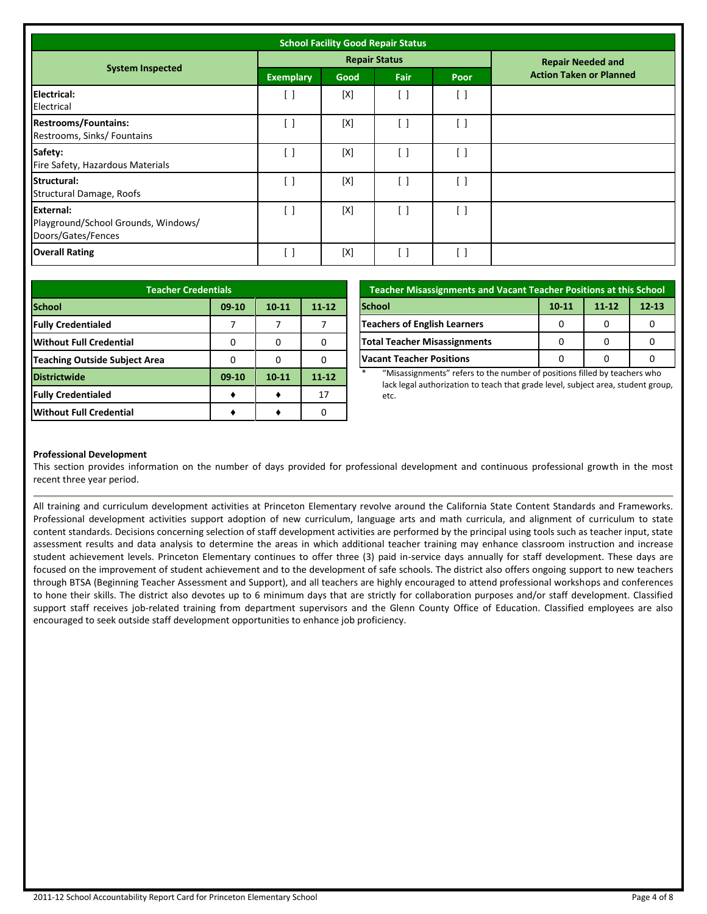| <b>School Facility Good Repair Status</b>                                     |                                               |      |                        |                                 |                                |
|-------------------------------------------------------------------------------|-----------------------------------------------|------|------------------------|---------------------------------|--------------------------------|
|                                                                               |                                               |      | <b>Repair Status</b>   |                                 | <b>Repair Needed and</b>       |
| <b>System Inspected</b>                                                       | <b>Exemplary</b>                              | Good | <b>Fair</b>            | Poor                            | <b>Action Taken or Planned</b> |
| Electrical:<br>Electrical                                                     | $\left[ \begin{array}{c} \end{array} \right]$ | [X]  | $\lceil$ $\rceil$      | [ ]                             |                                |
| <b>Restrooms/Fountains:</b><br>Restrooms, Sinks/ Fountains                    | $\begin{bmatrix} \end{bmatrix}$               | [X]  | $\lceil$ $\rceil$      | $\left[ \quad \right]$          |                                |
| Safety:<br>Fire Safety, Hazardous Materials                                   | $\left[ \begin{array}{c} \end{array} \right]$ | [X]  | $\left[ \ \right]$     | $[\ ]$                          |                                |
| Structural:<br><b>Structural Damage, Roofs</b>                                | $\begin{bmatrix} \end{bmatrix}$               | [X]  | $\left[ \quad \right]$ | $\begin{bmatrix} \end{bmatrix}$ |                                |
| <b>External:</b><br>Playground/School Grounds, Windows/<br>Doors/Gates/Fences | [ ]                                           | [X]  | $\left[ \ \right]$     | $\lceil$ $\rceil$               |                                |
| <b>Overall Rating</b>                                                         | [ ]                                           | [X]  | $\left[ \ \right]$     | i 1                             |                                |

| <b>Teacher Credentials</b>           |         |           |           |  |
|--------------------------------------|---------|-----------|-----------|--|
| <b>School</b>                        | $09-10$ | $10 - 11$ | $11 - 12$ |  |
| <b>Fully Credentialed</b>            |         |           |           |  |
| <b>Without Full Credential</b>       | O       |           |           |  |
| <b>Teaching Outside Subject Area</b> |         |           |           |  |
| <b>Districtwide</b>                  | $09-10$ | $10 - 11$ | $11 - 12$ |  |
| <b>Fully Credentialed</b>            |         |           | 17        |  |
| <b>Without Full Credential</b>       |         |           |           |  |

| <b>Teacher Misassignments and Vacant Teacher Positions at this School</b> |           |           |           |  |  |
|---------------------------------------------------------------------------|-----------|-----------|-----------|--|--|
| <b>School</b>                                                             | $10 - 11$ | $11 - 12$ | $12 - 13$ |  |  |
| <b>Teachers of English Learners</b>                                       |           |           |           |  |  |
| <b>Total Teacher Misassignments</b>                                       |           | 0         |           |  |  |
| <b>Vacant Teacher Positions</b>                                           |           |           |           |  |  |

"Misassignments" refers to the number of positions filled by teachers who lack legal authorization to teach that grade level, subject area, student group, etc.

#### **Professional Development**

This section provides information on the number of days provided for professional development and continuous professional growth in the most recent three year period.

All training and curriculum development activities at Princeton Elementary revolve around the California State Content Standards and Frameworks. Professional development activities support adoption of new curriculum, language arts and math curricula, and alignment of curriculum to state content standards. Decisions concerning selection of staff development activities are performed by the principal using tools such as teacher input, state assessment results and data analysis to determine the areas in which additional teacher training may enhance classroom instruction and increase student achievement levels. Princeton Elementary continues to offer three (3) paid in-service days annually for staff development. These days are focused on the improvement of student achievement and to the development of safe schools. The district also offers ongoing support to new teachers through BTSA (Beginning Teacher Assessment and Support), and all teachers are highly encouraged to attend professional workshops and conferences to hone their skills. The district also devotes up to 6 minimum days that are strictly for collaboration purposes and/or staff development. Classified support staff receives job-related training from department supervisors and the Glenn County Office of Education. Classified employees are also encouraged to seek outside staff development opportunities to enhance job proficiency.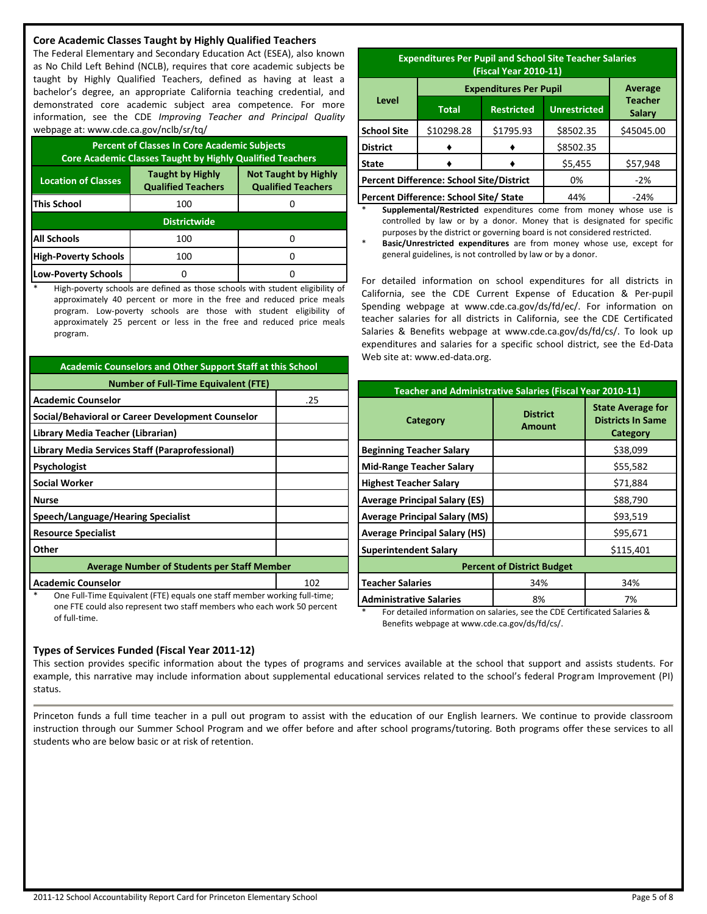#### **Core Academic Classes Taught by Highly Qualified Teachers**

The Federal Elementary and Secondary Education Act (ESEA), also known as No Child Left Behind (NCLB), requires that core academic subjects be taught by Highly Qualified Teachers, defined as having at least a bachelor's degree, an appropriate California teaching credential, and demonstrated core academic subject area competence. For more information, see the CDE *Improving Teacher and Principal Quality* webpage at: www.cde.ca.gov/nclb/sr/tq/

| <b>Percent of Classes In Core Academic Subjects</b><br><b>Core Academic Classes Taught by Highly Qualified Teachers</b>                        |     |  |  |  |  |
|------------------------------------------------------------------------------------------------------------------------------------------------|-----|--|--|--|--|
| <b>Taught by Highly</b><br><b>Not Taught by Highly</b><br><b>Location of Classes</b><br><b>Qualified Teachers</b><br><b>Qualified Teachers</b> |     |  |  |  |  |
| This School                                                                                                                                    | 100 |  |  |  |  |
| <b>Districtwide</b>                                                                                                                            |     |  |  |  |  |
| <b>All Schools</b>                                                                                                                             | 100 |  |  |  |  |
| <b>High-Poverty Schools</b>                                                                                                                    | 100 |  |  |  |  |
| Low-Poverty Schools                                                                                                                            |     |  |  |  |  |

High-poverty schools are defined as those schools with student eligibility of approximately 40 percent or more in the free and reduced price meals program. Low-poverty schools are those with student eligibility of approximately 25 percent or less in the free and reduced price meals program.

| <b>Academic Counselors and Other Support Staff at this School</b>         |     |  |  |  |
|---------------------------------------------------------------------------|-----|--|--|--|
| <b>Number of Full-Time Equivalent (FTE)</b>                               |     |  |  |  |
| <b>Academic Counselor</b>                                                 | .25 |  |  |  |
| Social/Behavioral or Career Development Counselor                         |     |  |  |  |
| Library Media Teacher (Librarian)                                         |     |  |  |  |
| Library Media Services Staff (Paraprofessional)                           |     |  |  |  |
| Psychologist                                                              |     |  |  |  |
| <b>Social Worker</b>                                                      |     |  |  |  |
| <b>Nurse</b>                                                              |     |  |  |  |
| Speech/Language/Hearing Specialist                                        |     |  |  |  |
| <b>Resource Specialist</b>                                                |     |  |  |  |
| Other                                                                     |     |  |  |  |
| <b>Average Number of Students per Staff Member</b>                        |     |  |  |  |
| <b>Academic Counselor</b><br>102                                          |     |  |  |  |
| One Full-Time Equivalent (FTE) equals one staff member working full-time; |     |  |  |  |

one FTE could also represent two staff members who each work 50 percent of full-time.

| <b>Expenditures Per Pupil and School Site Teacher Salaries</b><br>(Fiscal Year 2010-11) |              |                                 |           |            |
|-----------------------------------------------------------------------------------------|--------------|---------------------------------|-----------|------------|
|                                                                                         | Average      |                                 |           |            |
| Level                                                                                   | <b>Total</b> | <b>Teacher</b><br><b>Salary</b> |           |            |
| <b>School Site</b>                                                                      | \$10298.28   | \$1795.93                       | \$8502.35 | \$45045.00 |
| <b>District</b>                                                                         |              |                                 | \$8502.35 |            |
| \$5,455<br><b>State</b>                                                                 |              |                                 |           | \$57,948   |
| <b>Percent Difference: School Site/District</b>                                         |              |                                 | 0%        | $-2%$      |
| Percent Difference: School Site/ State                                                  |              |                                 | 44%       | $-24%$     |

Supplemental/Restricted expenditures come from money whose use is controlled by law or by a donor. Money that is designated for specific purposes by the district or governing board is not considered restricted.

Basic/Unrestricted expenditures are from money whose use, except for general guidelines, is not controlled by law or by a donor.

For detailed information on school expenditures for all districts in California, see the CDE Current Expense of Education & Per-pupil Spending webpage at www.cde.ca.gov/ds/fd/ec/. For information on teacher salaries for all districts in California, see the CDE Certificated Salaries & Benefits webpage at www.cde.ca.gov/ds/fd/cs/. To look up expenditures and salaries for a specific school district, see the Ed-Data Web site at: www.ed-data.org.

| Teacher and Administrative Salaries (Fiscal Year 2010-11) |                                   |                                                                                |  |  |
|-----------------------------------------------------------|-----------------------------------|--------------------------------------------------------------------------------|--|--|
| Category                                                  | <b>District</b><br><b>Amount</b>  | <b>State Average for</b><br><b>Districts In Same</b><br>Category               |  |  |
| <b>Beginning Teacher Salary</b>                           |                                   | \$38,099                                                                       |  |  |
| <b>Mid-Range Teacher Salary</b>                           |                                   | \$55,582                                                                       |  |  |
| <b>Highest Teacher Salary</b>                             |                                   | \$71,884                                                                       |  |  |
| <b>Average Principal Salary (ES)</b>                      |                                   | \$88,790                                                                       |  |  |
| <b>Average Principal Salary (MS)</b>                      |                                   | \$93,519                                                                       |  |  |
| <b>Average Principal Salary (HS)</b>                      |                                   | \$95,671                                                                       |  |  |
| <b>Superintendent Salary</b>                              |                                   | \$115,401                                                                      |  |  |
|                                                           | <b>Percent of District Budget</b> |                                                                                |  |  |
| <b>Teacher Salaries</b>                                   | 34%                               | 34%                                                                            |  |  |
| <b>Administrative Salaries</b>                            | 8%                                | 7%                                                                             |  |  |
| $\mathbf{r}$<br>しゅうしょ はっしょりし はけいずく しょうしょうしょうしょうしんけいし      |                                   | $\sim$ the concentration of $\sim$ 1.1 $\sim$ 1.1 $\sim$ 1.1 $\sim$ 0.1 $\sim$ |  |  |

\* For detailed information on salaries, see the CDE Certificated Salaries & Benefits webpage at www.cde.ca.gov/ds/fd/cs/.

#### **Types of Services Funded (Fiscal Year 2011-12)**

This section provides specific information about the types of programs and services available at the school that support and assists students. For example, this narrative may include information about supplemental educational services related to the school's federal Program Improvement (PI) status.

Princeton funds a full time teacher in a pull out program to assist with the education of our English learners. We continue to provide classroom instruction through our Summer School Program and we offer before and after school programs/tutoring. Both programs offer these services to all students who are below basic or at risk of retention.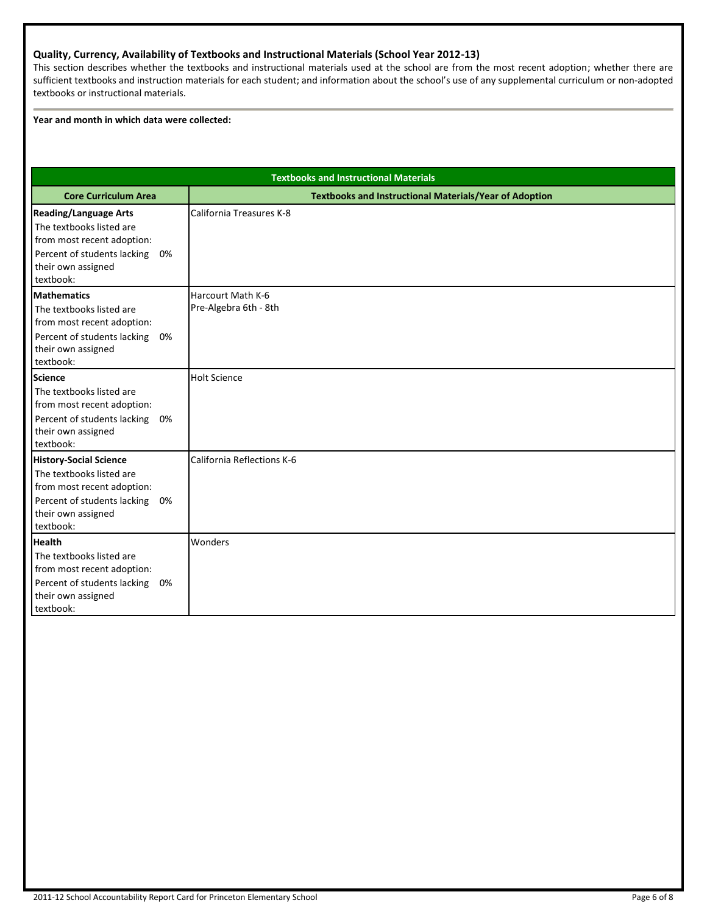#### **Quality, Currency, Availability of Textbooks and Instructional Materials (School Year 2012-13)**

This section describes whether the textbooks and instructional materials used at the school are from the most recent adoption; whether there are sufficient textbooks and instruction materials for each student; and information about the school's use of any supplemental curriculum or non-adopted textbooks or instructional materials.

#### **Year and month in which data were collected:**

| <b>Textbooks and Instructional Materials</b>                                                                                                                 |    |                                                               |  |  |  |
|--------------------------------------------------------------------------------------------------------------------------------------------------------------|----|---------------------------------------------------------------|--|--|--|
| <b>Core Curriculum Area</b>                                                                                                                                  |    | <b>Textbooks and Instructional Materials/Year of Adoption</b> |  |  |  |
| <b>Reading/Language Arts</b><br>The textbooks listed are<br>from most recent adoption:<br>Percent of students lacking 0%<br>their own assigned<br>textbook:  |    | California Treasures K-8                                      |  |  |  |
| <b>Mathematics</b><br>The textbooks listed are<br>from most recent adoption:<br>Percent of students lacking 0%<br>their own assigned<br>textbook:            |    | Harcourt Math K-6<br>Pre-Algebra 6th - 8th                    |  |  |  |
| <b>Science</b><br>The textbooks listed are<br>from most recent adoption:<br>Percent of students lacking<br>their own assigned<br>textbook:                   | 0% | <b>Holt Science</b>                                           |  |  |  |
| <b>History-Social Science</b><br>The textbooks listed are<br>from most recent adoption:<br>Percent of students lacking 0%<br>their own assigned<br>textbook: |    | California Reflections K-6                                    |  |  |  |
| <b>Health</b><br>The textbooks listed are<br>from most recent adoption:<br>Percent of students lacking 0%<br>their own assigned<br>textbook:                 |    | Wonders                                                       |  |  |  |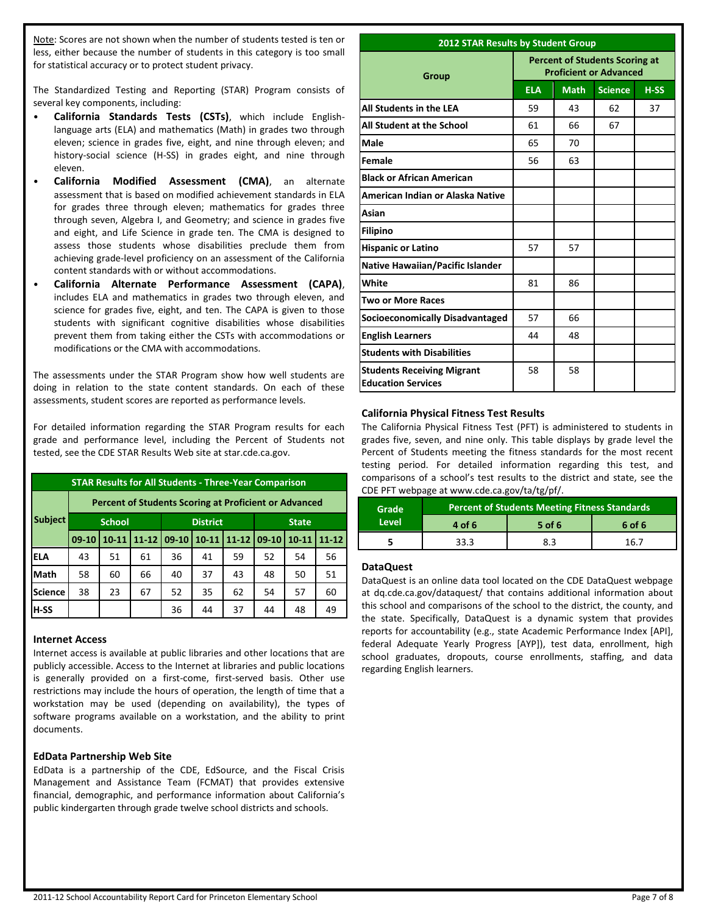Note: Scores are not shown when the number of students tested is ten or less, either because the number of students in this category is too small for statistical accuracy or to protect student privacy.

The Standardized Testing and Reporting (STAR) Program consists of several key components, including:

- **California Standards Tests (CSTs)**, which include Englishlanguage arts (ELA) and mathematics (Math) in grades two through eleven; science in grades five, eight, and nine through eleven; and history-social science (H-SS) in grades eight, and nine through eleven.
- **California Modified Assessment (CMA)**, an alternate assessment that is based on modified achievement standards in ELA for grades three through eleven; mathematics for grades three through seven, Algebra I, and Geometry; and science in grades five and eight, and Life Science in grade ten. The CMA is designed to assess those students whose disabilities preclude them from achieving grade-level proficiency on an assessment of the California content standards with or without accommodations.
- **California Alternate Performance Assessment (CAPA)**, includes ELA and mathematics in grades two through eleven, and science for grades five, eight, and ten. The CAPA is given to those students with significant cognitive disabilities whose disabilities prevent them from taking either the CSTs with accommodations or modifications or the CMA with accommodations.

The assessments under the STAR Program show how well students are doing in relation to the state content standards. On each of these assessments, student scores are reported as performance levels.

For detailed information regarding the STAR Program results for each grade and performance level, including the Percent of Students not tested, see the CDE STAR Results Web site at star.cde.ca.gov.

| <b>STAR Results for All Students - Three-Year Comparison</b> |                                                              |               |           |                 |           |           |              |           |           |
|--------------------------------------------------------------|--------------------------------------------------------------|---------------|-----------|-----------------|-----------|-----------|--------------|-----------|-----------|
|                                                              | <b>Percent of Students Scoring at Proficient or Advanced</b> |               |           |                 |           |           |              |           |           |
| <b>Subject</b>                                               |                                                              | <b>School</b> |           | <b>District</b> |           |           | <b>State</b> |           |           |
|                                                              | $09-10$                                                      | $10 - 11$     | $11 - 12$ | $09-10$         | $10 - 11$ | $11 - 12$ | $09-10$      | $10 - 11$ | $11 - 12$ |
| <b>ELA</b>                                                   | 43                                                           | 51            | 61        | 36              | 41        | 59        | 52           | 54        | 56        |
| Math                                                         | 58                                                           | 60            | 66        | 40              | 37        | 43        | 48           | 50        | 51        |
| <b>Science</b>                                               | 38                                                           | 23            | 67        | 52              | 35        | 62        | 54           | 57        | 60        |
| H-SS                                                         |                                                              |               |           | 36              | 44        | 37        | 44           | 48        | 49        |

#### **Internet Access**

Internet access is available at public libraries and other locations that are publicly accessible. Access to the Internet at libraries and public locations is generally provided on a first-come, first-served basis. Other use restrictions may include the hours of operation, the length of time that a workstation may be used (depending on availability), the types of software programs available on a workstation, and the ability to print documents.

#### **EdData Partnership Web Site**

EdData is a partnership of the CDE, EdSource, and the Fiscal Crisis Management and Assistance Team (FCMAT) that provides extensive financial, demographic, and performance information about California's public kindergarten through grade twelve school districts and schools.

#### **2012 STAR Results by Student Group**

| Group                                                          | <b>Percent of Students Scoring at</b><br><b>Proficient or Advanced</b> |             |                |        |  |
|----------------------------------------------------------------|------------------------------------------------------------------------|-------------|----------------|--------|--|
|                                                                | <b>ELA</b>                                                             | <b>Math</b> | <b>Science</b> | $H-SS$ |  |
| All Students in the LEA                                        | 59                                                                     | 43          | 62             | 37     |  |
| All Student at the School                                      | 61                                                                     | 66          | 67             |        |  |
| Male                                                           | 65                                                                     | 70          |                |        |  |
| Female                                                         | 56                                                                     | 63          |                |        |  |
| <b>Black or African American</b>                               |                                                                        |             |                |        |  |
| American Indian or Alaska Native                               |                                                                        |             |                |        |  |
| Asian                                                          |                                                                        |             |                |        |  |
| <b>Filipino</b>                                                |                                                                        |             |                |        |  |
| <b>Hispanic or Latino</b>                                      | 57                                                                     | 57          |                |        |  |
| <b>Native Hawaiian/Pacific Islander</b>                        |                                                                        |             |                |        |  |
| White                                                          | 81                                                                     | 86          |                |        |  |
| <b>Two or More Races</b>                                       |                                                                        |             |                |        |  |
| <b>Socioeconomically Disadvantaged</b>                         | 57                                                                     | 66          |                |        |  |
| <b>English Learners</b>                                        | 44                                                                     | 48          |                |        |  |
| <b>Students with Disabilities</b>                              |                                                                        |             |                |        |  |
| <b>Students Receiving Migrant</b><br><b>Education Services</b> | 58                                                                     | 58          |                |        |  |

#### **California Physical Fitness Test Results**

The California Physical Fitness Test (PFT) is administered to students in grades five, seven, and nine only. This table displays by grade level the Percent of Students meeting the fitness standards for the most recent testing period. For detailed information regarding this test, and comparisons of a school's test results to the district and state, see the CDE PFT webpage at www.cde.ca.gov/ta/tg/pf/.

| Grade | <b>Percent of Students Meeting Fitness Standards</b> |        |        |  |
|-------|------------------------------------------------------|--------|--------|--|
| Level | 4 of 6                                               | 5 of 6 | 6 of 6 |  |
|       | 33.3                                                 | 8.3    | 16 7   |  |

#### **DataQuest**

DataQuest is an online data tool located on the CDE DataQuest webpage at dq.cde.ca.gov/dataquest/ that contains additional information about this school and comparisons of the school to the district, the county, and the state. Specifically, DataQuest is a dynamic system that provides reports for accountability (e.g., state Academic Performance Index [API], federal Adequate Yearly Progress [AYP]), test data, enrollment, high school graduates, dropouts, course enrollments, staffing, and data regarding English learners.